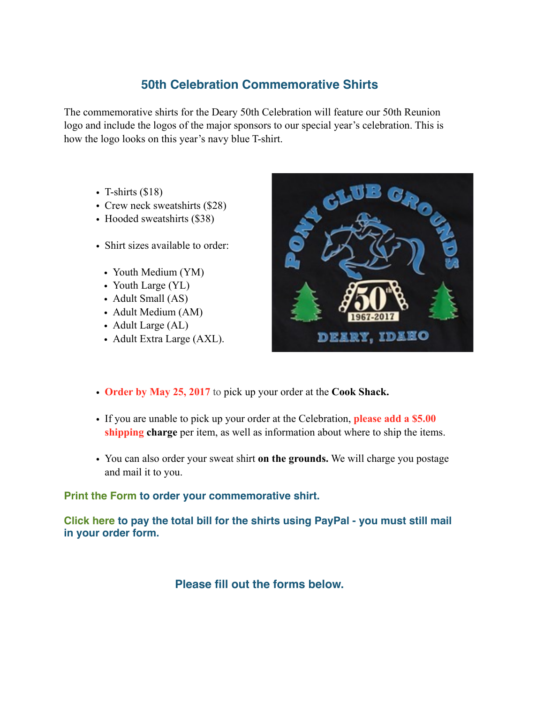## **50th Celebration Commemorative Shirts**

The commemorative shirts for the Deary 50th Celebration will feature our 50th Reunion logo and include the logos of the major sponsors to our special year's celebration. This is how the logo looks on this year's navy blue T-shirt.

- T-shirts  $(\$18)$
- Crew neck sweatshirts (\$28)
- Hooded sweatshirts (\$38)
- Shirt sizes available to order:
	- Youth Medium (YM)
	- Youth Large (YL)
	- Adult Small (AS)
	- Adult Medium (AM)
	- Adult Large (AL)
	- Adult Extra Large (AXL).



- **Order by May 25, 2017** to pick up your order at the **Cook Shack.**
- If you are unable to pick up your order at the Celebration, **please add a \$5.00 shipping charge** per item, as well as information about where to ship the items.
- You can also order your sweat shirt **on the grounds.** We will charge you postage and mail it to you.

## **Print the Form to order your commemorative shirt.**

**Click here to pay the total bill for the shirts using PayPal - you must still mail in your order form.**

**Please fill out the forms below.**